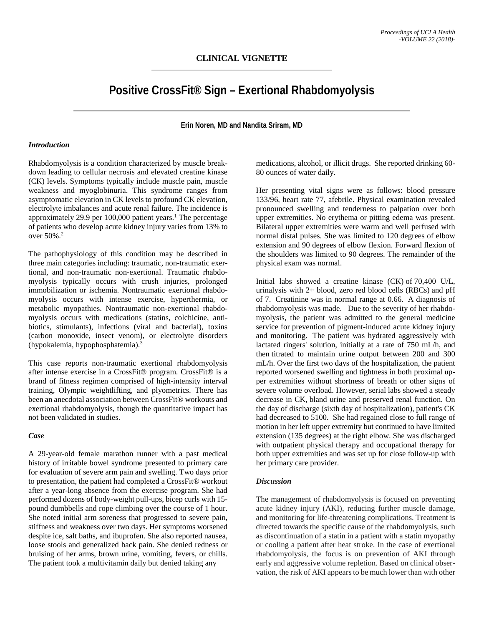# **Positive CrossFit® Sign – Exertional Rhabdomyolysis**

**Erin Noren, MD and Nandita Sriram, MD**

#### *Introduction*

Rhabdomyolysis is a condition characterized by muscle breakdown leading to cellular necrosis and elevated creatine kinase (CK) levels. Symptoms typically include muscle pain, muscle weakness and myoglobinuria. This syndrome ranges from asymptomatic elevation in CK levels to profound CK elevation, electrolyte imbalances and acute renal failure. The incidence is approximately 29.9 per  $100,000$  patient years.<sup>1</sup> The percentage of patients who develop acute kidney injury varies from 13% to over 50%.2

The pathophysiology of this condition may be described in three main categories including: traumatic, non-traumatic exertional, and non-traumatic non-exertional. Traumatic rhabdomyolysis typically occurs with crush injuries, prolonged immobilization or ischemia. Nontraumatic exertional rhabdomyolysis occurs with intense exercise, hyperthermia, or metabolic myopathies. Nontraumatic non-exertional rhabdomyolysis occurs with medications (statins, colchicine, antibiotics, stimulants), infections (viral and bacterial), toxins (carbon monoxide, insect venom), or electrolyte disorders (hypokalemia, hypophosphatemia).3

This case reports non-traumatic exertional rhabdomyolysis after intense exercise in a CrossFit® program. CrossFit® is a brand of fitness regimen comprised of high-intensity interval training, Olympic weightlifting, and plyometrics. There has been an anecdotal association between CrossFit® workouts and exertional rhabdomyolysis, though the quantitative impact has not been validated in studies.

### *Case*

A 29-year-old female marathon runner with a past medical history of irritable bowel syndrome presented to primary care for evaluation of severe arm pain and swelling. Two days prior to presentation, the patient had completed a CrossFit® workout after a year-long absence from the exercise program. She had performed dozens of body-weight pull-ups, bicep curls with 15 pound dumbbells and rope climbing over the course of 1 hour. She noted initial arm soreness that progressed to severe pain, stiffness and weakness over two days. Her symptoms worsened despite ice, salt baths, and ibuprofen. She also reported nausea, loose stools and generalized back pain. She denied redness or bruising of her arms, brown urine, vomiting, fevers, or chills. The patient took a multivitamin daily but denied taking any

medications, alcohol, or illicit drugs. She reported drinking 60- 80 ounces of water daily.

Her presenting vital signs were as follows: blood pressure 133/96, heart rate 77, afebrile. Physical examination revealed pronounced swelling and tenderness to palpation over both upper extremities. No erythema or pitting edema was present. Bilateral upper extremities were warm and well perfused with normal distal pulses. She was limited to 120 degrees of elbow extension and 90 degrees of elbow flexion. Forward flexion of the shoulders was limited to 90 degrees. The remainder of the physical exam was normal.

Initial labs showed a creatine kinase (CK) of 70,400 U/L, urinalysis with 2+ blood, zero red blood cells (RBCs) and pH of 7. Creatinine was in normal range at 0.66. A diagnosis of rhabdomyolysis was made. Due to the severity of her rhabdomyolysis, the patient was admitted to the general medicine service for prevention of pigment-induced acute kidney injury and monitoring. The patient was hydrated aggressively with lactated ringers' solution, initially at a rate of 750 mL/h, and then titrated to maintain urine output between 200 and 300 mL/h. Over the first two days of the hospitalization, the patient reported worsened swelling and tightness in both proximal upper extremities without shortness of breath or other signs of severe volume overload. However, serial labs showed a steady decrease in CK, bland urine and preserved renal function. On the day of discharge (sixth day of hospitalization), patient's CK had decreased to 5100. She had regained close to full range of motion in her left upper extremity but continued to have limited extension (135 degrees) at the right elbow. She was discharged with outpatient physical therapy and occupational therapy for both upper extremities and was set up for close follow-up with her primary care provider.

### *Discussion*

The management of rhabdomyolysis is focused on preventing acute kidney injury (AKI), reducing further muscle damage, and monitoring for life-threatening complications. Treatment is directed towards the specific cause of the rhabdomyolysis, such as discontinuation of a statin in a patient with a statin myopathy or cooling a patient after heat stroke. In the case of exertional rhabdomyolysis, the focus is on prevention of AKI through early and aggressive volume repletion. Based on clinical observation, the risk of AKI appears to be much lower than with other